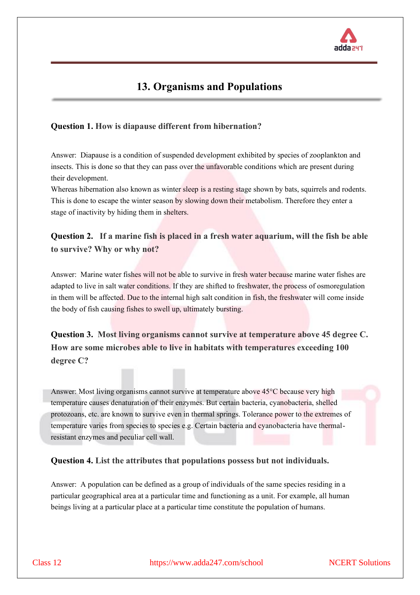

# **13. Organisms and Populations**

## **Question 1. How is diapause different from hibernation?**

Answer: Diapause is a condition of suspended development exhibited by species of zooplankton and insects. This is done so that they can pass over the unfavorable conditions which are present during their development.

Whereas hibernation also known as winter sleep is a resting stage shown by bats, squirrels and rodents. This is done to escape the winter season by slowing down their metabolism. Therefore they enter a stage of inactivity by hiding them in shelters.

## **Question 2. If a marine fish is placed in a fresh water aquarium, will the fish be able to survive? Why or why not?**

Answer: Marine water fishes will not be able to survive in fresh water because marine water fishes are adapted to live in salt water conditions. If they are shifted to freshwater, the process of osmoregulation in them will be affected. Due to the internal high salt condition in fish, the freshwater will come inside the body of fish causing fishes to swell up, ultimately bursting.

# **Question 3. Most living organisms cannot survive at temperature above 45 degree C. How are some microbes able to live in habitats with temperatures exceeding 100 degree C?**

Answer: Most living organisms cannot survive at temperature above 45°C because very high temperature causes denaturation of their enzymes. But certain bacteria, cyanobacteria, shelled protozoans, etc. are known to survive even in thermal springs. Tolerance power to the extremes of temperature varies from species to species e.g. Certain bacteria and cyanobacteria have thermalresistant enzymes and peculiar cell wall.

## **Question 4. List the attributes that populations possess but not individuals.**

Answer: A population can be defined as a group of individuals of the same species residing in a particular geographical area at a particular time and functioning as a unit. For example, all human beings living at a particular place at a particular time constitute the population of humans.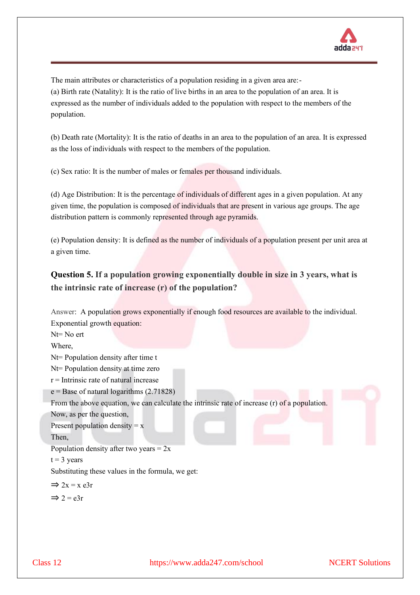

The main attributes or characteristics of a population residing in a given area are:- (a) Birth rate (Natality): It is the ratio of live births in an area to the population of an area. It is expressed as the number of individuals added to the population with respect to the members of the population.

(b) Death rate (Mortality): It is the ratio of deaths in an area to the population of an area. It is expressed as the loss of individuals with respect to the members of the population.

(c) Sex ratio: It is the number of males or females per thousand individuals.

(d) Age Distribution: It is the percentage of individuals of different ages in a given population. At any given time, the population is composed of individuals that are present in various age groups. The age distribution pattern is commonly represented through age pyramids.

(e) Population density: It is defined as the number of individuals of a population present per unit area at a given time.

# **Question 5. If a population growing exponentially double in size in 3 years, what is the intrinsic rate of increase (r) of the population?**

| Answer: A population grows exponentially if enough food resources are available to the individual. |
|----------------------------------------------------------------------------------------------------|
| Exponential growth equation:                                                                       |
| $Nt = No$ ert                                                                                      |
| Where,                                                                                             |
| Nt= Population density after time t                                                                |
| Nt= Population density at time zero                                                                |
| $r =$ Intrinsic rate of natural increase                                                           |
| $e =$ Base of natural logarithms (2.71828)                                                         |
| From the above equation, we can calculate the intrinsic rate of increase (r) of a population.      |
| Now, as per the question,                                                                          |
| Present population density $= x$                                                                   |
| Then,                                                                                              |
| Population density after two years = $2x$                                                          |
| $t = 3$ years                                                                                      |
| Substituting these values in the formula, we get:                                                  |
| $\Rightarrow$ 2x = x e3r                                                                           |
| $\Rightarrow$ 2 = e3r                                                                              |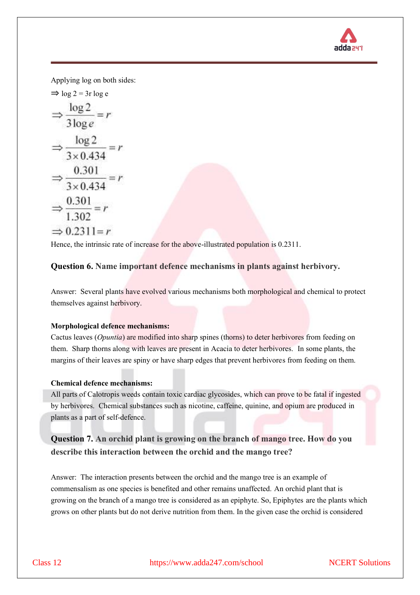

Applying log on both sides:

$$
\Rightarrow \log 2 = 3r \log e
$$
  
\n
$$
\Rightarrow \frac{\log 2}{3 \log e} = r
$$
  
\n
$$
\Rightarrow \frac{\log 2}{3 \times 0.434} = r
$$
  
\n
$$
\Rightarrow \frac{0.301}{3 \times 0.434} = r
$$
  
\n
$$
\Rightarrow \frac{0.301}{1.302} = r
$$
  
\n
$$
\Rightarrow 0.2311 = r
$$

Hence, the intrinsic rate of increase for the above-illustrated population is 0.2311.

## **Question 6. Name important defence mechanisms in plants against herbivory.**

Answer: Several plants have evolved various mechanisms both morphological and chemical to protect themselves against herbivory.

#### **Morphological defence mechanisms:**

Cactus leaves (*Opuntia*) are modified into sharp spines (thorns) to deter herbivores from feeding on them. Sharp thorns along with leaves are present in Acacia to deter herbivores. In some plants, the margins of their leaves are spiny or have sharp edges that prevent herbivores from feeding on them.

## **Chemical defence mechanisms:**

All parts of Calotropis weeds contain toxic cardiac glycosides, which can prove to be fatal if ingested by herbivores. Chemical substances such as nicotine, caffeine, quinine, and opium are produced in plants as a part of self-defence.

# **Question 7. An orchid plant is growing on the branch of mango tree. How do you describe this interaction between the orchid and the mango tree?**

Answer: The interaction presents between the orchid and the mango tree is an example of commensalism as one species is benefited and other remains unaffected. An orchid plant that is growing on the branch of a mango tree is considered as an epiphyte. So, Epiphytes are the plants which grows on other plants but do not derive nutrition from them. In the given case the orchid is considered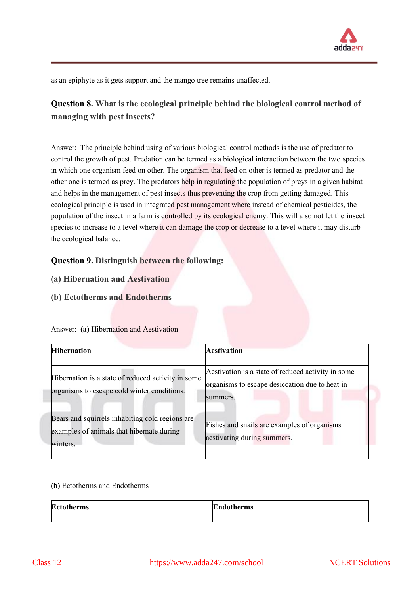

as an epiphyte as it gets support and the mango tree remains unaffected.

# **Question 8. What is the ecological principle behind the biological control method of managing with pest insects?**

Answer: The principle behind using of various biological control methods is the use of predator to control the growth of pest. Predation can be termed as a biological interaction between the two species in which one organism feed on other. The organism that feed on other is termed as predator and the other one is termed as prey. The predators help in regulating the population of preys in a given habitat and helps in the management of pest insects thus preventing the crop from getting damaged. This ecological principle is used in integrated pest management where instead of chemical pesticides, the population of the insect in a farm is controlled by its ecological enemy. This will also not let the insect species to increase to a level where it can damage the crop or decrease to a level where it may disturb the ecological balance.

## **Question 9. Distinguish between the following:**

- **(a) Hibernation and Aestivation**
- **(b) Ectotherms and Endotherms**

| <b>Hibernation</b>                                                                                       | Aestivation                                                                                                       |
|----------------------------------------------------------------------------------------------------------|-------------------------------------------------------------------------------------------------------------------|
| Hibernation is a state of reduced activity in some<br>organisms to escape cold winter conditions.        | A estivation is a state of reduced activity in some<br>organisms to escape desiccation due to heat in<br>summers. |
| Bears and squirrels inhabiting cold regions are<br>examples of animals that hibernate during<br>winters. | Fishes and snails are examples of organisms<br>aestivating during summers.                                        |

#### Answer: **(a)** Hibernation and Aestivation

#### **(b)** Ectotherms and Endotherms

| <b>Ectotherms</b> | <b>Endotherms</b> |
|-------------------|-------------------|
|                   |                   |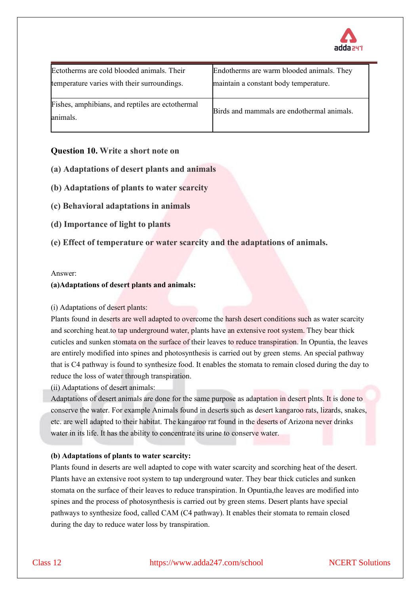

| Ectotherms are cold blooded animals. Their                   | Endotherms are warm blooded animals. They  |
|--------------------------------------------------------------|--------------------------------------------|
| temperature varies with their surroundings.                  | maintain a constant body temperature.      |
| Fishes, amphibians, and reptiles are ectothermal<br>animals. | Birds and mammals are endothermal animals. |

## **Question 10. Write a short note on**

- **(a) Adaptations of desert plants and animals**
- **(b) Adaptations of plants to water scarcity**
- **(c) Behavioral adaptations in animals**
- **(d) Importance of light to plants**
- **(e) Effect of temperature or water scarcity and the adaptations of animals.**

#### Answer:

#### **(a)Adaptations of desert plants and animals:**

#### (i) Adaptations of desert plants:

Plants found in deserts are well adapted to overcome the harsh desert conditions such as water scarcity and scorching heat.to tap underground water, plants have an extensive root system. They bear thick cuticles and sunken stomata on the surface of their leaves to reduce transpiration. In Opuntia, the leaves are entirely modified into spines and photosynthesis is carried out by green stems. An special pathway that is C4 pathway is found to synthesize food. It enables the stomata to remain closed during the day to reduce the loss of water through transpiration.

(ii) Adaptations of desert animals:

Adaptations of desert animals are done for the same purpose as adaptation in desert plnts. It is done to conserve the water. For example Animals found in deserts such as desert kangaroo rats, lizards, snakes, etc. are well adapted to their habitat. The kangaroo rat found in the deserts of Arizona never drinks water in its life. It has the ability to concentrate its urine to conserve water.

## **(b) Adaptations of plants to water scarcity:**

Plants found in deserts are well adapted to cope with water scarcity and scorching heat of the desert. Plants have an extensive root system to tap underground water. They bear thick cuticles and sunken stomata on the surface of their leaves to reduce transpiration. In Opuntia,the leaves are modified into spines and the process of photosynthesis is carried out by green stems. Desert plants have special pathways to synthesize food, called CAM (C4 pathway). It enables their stomata to remain closed during the day to reduce water loss by transpiration.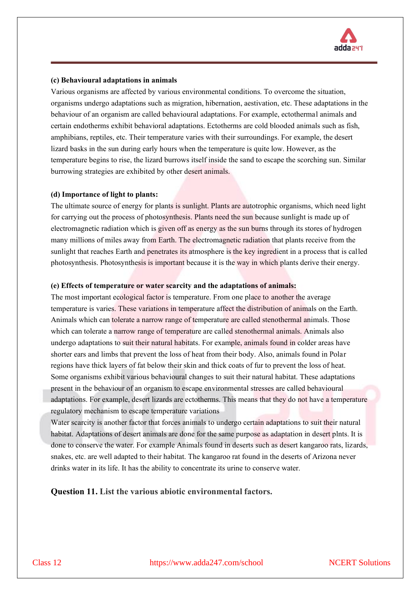

#### **(c) Behavioural adaptations in animals**

Various organisms are affected by various environmental conditions. To overcome the situation, organisms undergo adaptations such as migration, hibernation, aestivation, etc. These adaptations in the behaviour of an organism are called behavioural adaptations. For example, ectothermal animals and certain endotherms exhibit behavioral adaptations. Ectotherms are cold blooded animals such as fish, amphibians, reptiles, etc. Their temperature varies with their surroundings. For example, the desert lizard basks in the sun during early hours when the temperature is quite low. However, as the temperature begins to rise, the lizard burrows itself inside the sand to escape the scorching sun. Similar burrowing strategies are exhibited by other desert animals.

#### **(d) Importance of light to plants:**

The ultimate source of energy for plants is sunlight. Plants are autotrophic organisms, which need light for carrying out the process of photosynthesis. Plants need the sun because sunlight is made up of electromagnetic radiation which is given off as energy as the sun burns through its stores of hydrogen many millions of miles away from Earth. The electromagnetic radiation that plants receive from the sunlight that reaches Earth and penetrates its atmosphere is the key ingredient in a process that is called photosynthesis. Photosynthesis is important because it is the way in which plants derive their energy.

#### **(e) Effects of temperature or water scarcity and the adaptations of animals:**

The most important ecological factor is temperature. From one place to another the average temperature is varies. These variations in temperature affect the distribution of animals on the Earth. Animals which can tolerate a narrow range of temperature are called stenothermal animals. Those which can tolerate a narrow range of temperature are called stenothermal animals. Animals also undergo adaptations to suit their natural habitats. For example, animals found in colder areas have shorter ears and limbs that prevent the loss of heat from their body. Also, animals found in Polar regions have thick layers of fat below their skin and thick coats of fur to prevent the loss of heat. Some organisms exhibit various behavioural changes to suit their natural habitat. These adaptations present in the behaviour of an organism to escape environmental stresses are called behavioural adaptations. For example, desert lizards are ectotherms. This means that they do not have a temperature regulatory mechanism to escape temperature variations

Water scarcity is another factor that forces animals to undergo certain adaptations to suit their natural habitat. Adaptations of desert animals are done for the same purpose as adaptation in desert plnts. It is done to conserve the water. For example Animals found in deserts such as desert kangaroo rats, lizards, snakes, etc. are well adapted to their habitat. The kangaroo rat found in the deserts of Arizona never drinks water in its life. It has the ability to concentrate its urine to conserve water.

**Question 11. List the various abiotic environmental factors.**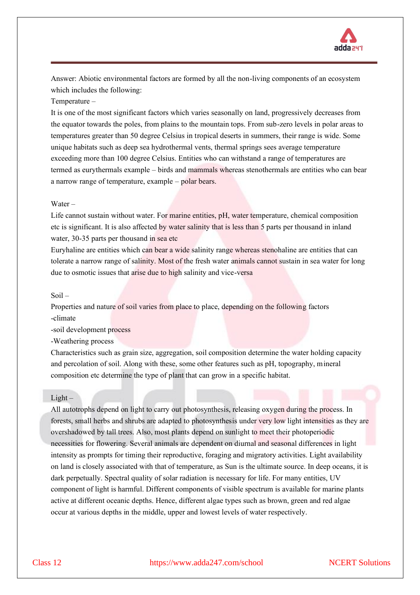

Answer: Abiotic environmental factors are formed by all the non-living components of an ecosystem which includes the following:

Temperature –

It is one of the most significant factors which varies seasonally on land, progressively decreases from the equator towards the poles, from plains to the mountain tops. From sub-zero levels in polar areas to temperatures greater than 50 degree Celsius in tropical deserts in summers, their range is wide. Some unique habitats such as deep sea hydrothermal vents, thermal springs sees average temperature exceeding more than 100 degree Celsius. Entities who can withstand a range of temperatures are termed as eurythermals example – birds and mammals whereas stenothermals are entities who can bear a narrow range of temperature, example – polar bears.

#### Water –

Life cannot sustain without water. For marine entities, pH, water temperature, chemical composition etc is significant. It is also affected by water salinity that is less than 5 parts per thousand in inland water, 30-35 parts per thousand in sea etc

Euryhaline are entities which can bear a wide salinity range whereas stenohaline are entities that can tolerate a narrow range of salinity. Most of the fresh water animals cannot sustain in sea water for long due to osmotic issues that arise due to high salinity and vice-versa

#### Soil –

Properties and nature of soil varies from place to place, depending on the following factors -climate

-soil development process

-Weathering process

Characteristics such as grain size, aggregation, soil composition determine the water holding capacity and percolation of soil. Along with these, some other features such as pH, topography, mineral composition etc determine the type of plant that can grow in a specific habitat.

#### $Light -$

All autotrophs depend on light to carry out photosynthesis, releasing oxygen during the process. In forests, small herbs and shrubs are adapted to photosynthesis under very low light intensities as they are overshadowed by tall trees. Also, most plants depend on sunlight to meet their photoperiodic necessities for flowering. Several animals are dependent on diurnal and seasonal differences in light intensity as prompts for timing their reproductive, foraging and migratory activities. Light availability on land is closely associated with that of temperature, as Sun is the ultimate source. In deep oceans, it is dark perpetually. Spectral quality of solar radiation is necessary for life. For many entities, UV component of light is harmful. Different components of visible spectrum is available for marine plants active at different oceanic depths. Hence, different algae types such as brown, green and red algae occur at various depths in the middle, upper and lowest levels of water respectively.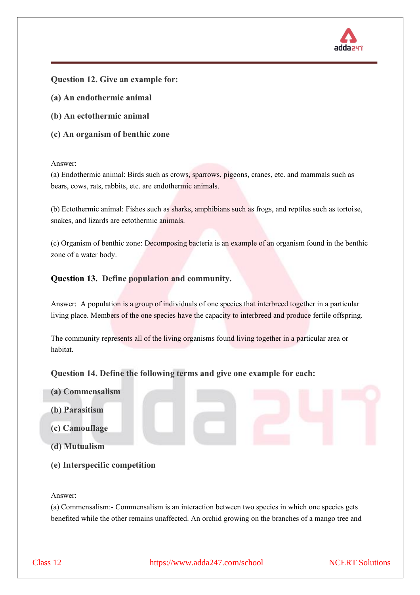

## **Question 12. Give an example for:**

- **(a) An endothermic animal**
- **(b) An ectothermic animal**
- **(c) An organism of benthic zone**

Answer:

(a) Endothermic animal: Birds such as crows, sparrows, pigeons, cranes, etc. and mammals such as bears, cows, rats, rabbits, etc. are endothermic animals.

(b) Ectothermic animal: Fishes such as sharks, amphibians such as frogs, and reptiles such as tortoise, snakes, and lizards are ectothermic animals.

(c) Organism of benthic zone: Decomposing bacteria is an example of an organism found in the benthic zone of a water body.

## **Question 13. Define population and community.**

Answer: A population is a group of individuals of one species that interbreed together in a particular living place. Members of the one species have the capacity to interbreed and produce fertile offspring.

The community represents all of the living organisms found living together in a particular area or habitat.

## **Question 14. Define the following terms and give one example for each:**

- **(a) Commensalism**
- **(b) Parasitism**
- **(c) Camouflage**
- **(d) Mutualism**
- **(e) Interspecific competition**

Answer:

(a) Commensalism:- Commensalism is an interaction between two species in which one species gets benefited while the other remains unaffected. An orchid growing on the branches of a mango tree and

Class 12 https://www.adda247.com/school NCERT Solutions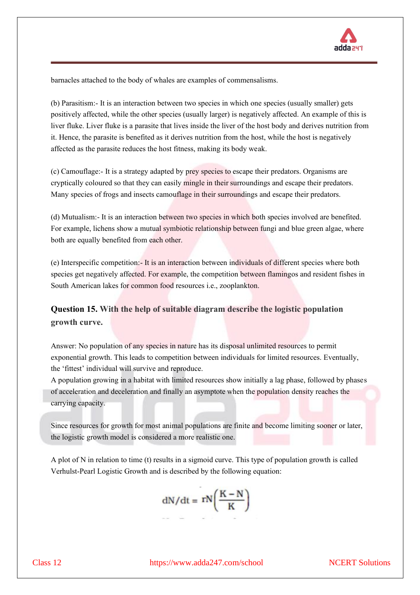

barnacles attached to the body of whales are examples of commensalisms.

(b) Parasitism:- It is an interaction between two species in which one species (usually smaller) gets positively affected, while the other species (usually larger) is negatively affected. An example of this is liver fluke. Liver fluke is a parasite that lives inside the liver of the host body and derives nutrition from it. Hence, the parasite is benefited as it derives nutrition from the host, while the host is negatively affected as the parasite reduces the host fitness, making its body weak.

(c) Camouflage:- It is a strategy adapted by prey species to escape their predators. Organisms are cryptically coloured so that they can easily mingle in their surroundings and escape their predators. Many species of frogs and insects camouflage in their surroundings and escape their predators.

(d) Mutualism:- It is an interaction between two species in which both species involved are benefited. For example, lichens show a mutual symbiotic relationship between fungi and blue green algae, where both are equally benefited from each other.

(e) Interspecific competition:- It is an interaction between individuals of different species where both species get negatively affected. For example, the competition between flamingos and resident fishes in South American lakes for common food resources i.e., zooplankton.

## **Question 15. With the help of suitable diagram describe the logistic population growth curve.**

Answer: No population of any species in nature has its disposal unlimited resources to permit exponential growth. This leads to competition between individuals for limited resources. Eventually, the 'fittest' individual will survive and reproduce.

A population growing in a habitat with limited resources show initially a lag phase, followed by phases of acceleration and deceleration and finally an asymptote when the population density reaches the carrying capacity.

Since resources for growth for most animal populations are finite and become limiting sooner or later, the logistic growth model is considered a more realistic one.

A plot of N in relation to time (t) results in a sigmoid curve. This type of population growth is called Verhulst-Pearl Logistic Growth and is described by the following equation:

$$
dN/dt = rN\left(\frac{K-N}{K}\right)
$$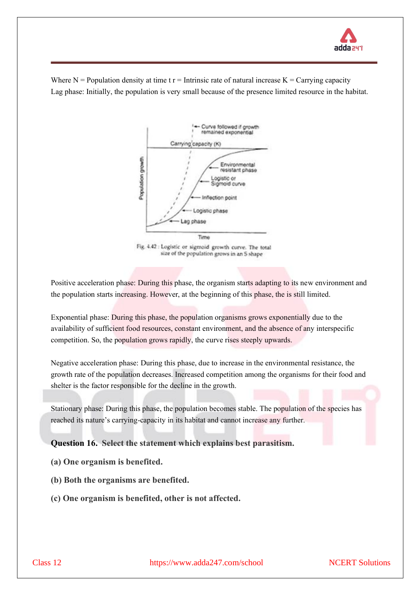

Where  $N =$  Population density at time t  $r =$  Intrinsic rate of natural increase  $K =$  Carrying capacity Lag phase: Initially, the population is very small because of the presence limited resource in the habitat.



Positive acceleration phase: During this phase, the organism starts adapting to its new environment and the population starts increasing. However, at the beginning of this phase, the is still limited.

Exponential phase: During this phase, the population organisms grows exponentially due to the availability of sufficient food resources, constant environment, and the absence of any interspecific competition. So, the population grows rapidly, the curve rises steeply upwards.

Negative acceleration phase: During this phase, due to increase in the environmental resistance, the growth rate of the population decreases. Increased competition among the organisms for their food and shelter is the factor responsible for the decline in the growth.

Stationary phase: During this phase, the population becomes stable. The population of the species has reached its nature's carrying-capacity in its habitat and cannot increase any further.

**Question 16. Select the statement which explains best parasitism.**

- **(a) One organism is benefited.**
- **(b) Both the organisms are benefited.**
- **(c) One organism is benefited, other is not affected.**